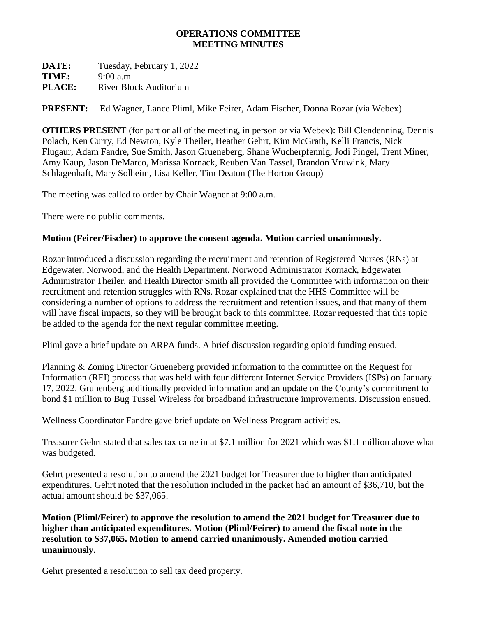### **OPERATIONS COMMITTEE MEETING MINUTES**

**DATE:** Tuesday, February 1, 2022 **TIME:** 9:00 a.m. **PLACE:** River Block Auditorium

**PRESENT:** Ed Wagner, Lance Pliml, Mike Feirer, Adam Fischer, Donna Rozar (via Webex)

**OTHERS PRESENT** (for part or all of the meeting, in person or via Webex): Bill Clendenning, Dennis Polach, Ken Curry, Ed Newton, Kyle Theiler, Heather Gehrt, Kim McGrath, Kelli Francis, Nick Flugaur, Adam Fandre, Sue Smith, Jason Grueneberg, Shane Wucherpfennig, Jodi Pingel, Trent Miner, Amy Kaup, Jason DeMarco, Marissa Kornack, Reuben Van Tassel, Brandon Vruwink, Mary Schlagenhaft, Mary Solheim, Lisa Keller, Tim Deaton (The Horton Group)

The meeting was called to order by Chair Wagner at 9:00 a.m.

There were no public comments.

### **Motion (Feirer/Fischer) to approve the consent agenda. Motion carried unanimously.**

Rozar introduced a discussion regarding the recruitment and retention of Registered Nurses (RNs) at Edgewater, Norwood, and the Health Department. Norwood Administrator Kornack, Edgewater Administrator Theiler, and Health Director Smith all provided the Committee with information on their recruitment and retention struggles with RNs. Rozar explained that the HHS Committee will be considering a number of options to address the recruitment and retention issues, and that many of them will have fiscal impacts, so they will be brought back to this committee. Rozar requested that this topic be added to the agenda for the next regular committee meeting.

Pliml gave a brief update on ARPA funds. A brief discussion regarding opioid funding ensued.

Planning & Zoning Director Grueneberg provided information to the committee on the Request for Information (RFI) process that was held with four different Internet Service Providers (ISPs) on January 17, 2022. Grunenberg additionally provided information and an update on the County's commitment to bond \$1 million to Bug Tussel Wireless for broadband infrastructure improvements. Discussion ensued.

Wellness Coordinator Fandre gave brief update on Wellness Program activities.

Treasurer Gehrt stated that sales tax came in at \$7.1 million for 2021 which was \$1.1 million above what was budgeted.

Gehrt presented a resolution to amend the 2021 budget for Treasurer due to higher than anticipated expenditures. Gehrt noted that the resolution included in the packet had an amount of \$36,710, but the actual amount should be \$37,065.

**Motion (Pliml/Feirer) to approve the resolution to amend the 2021 budget for Treasurer due to higher than anticipated expenditures. Motion (Pliml/Feirer) to amend the fiscal note in the resolution to \$37,065. Motion to amend carried unanimously. Amended motion carried unanimously.** 

Gehrt presented a resolution to sell tax deed property.